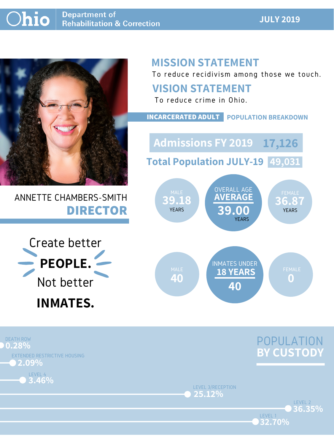### **JULY 2019**



## ANNETTE CHAMBERS-SMITH **DIRECTOR**

## **MISSION STATEMENT**

To reduce recidivism among those we touch.





LEVEL 1

LEVEL 3/RECEPTION **25.12%**





### **VISION STATEMENT**



To reduce crime in Ohio.

**INCARCERATED ADULT POPULATION BREAKDOWN**

**Total Population JULY-19 49,031**

**Admissions FY 2019 17,126**

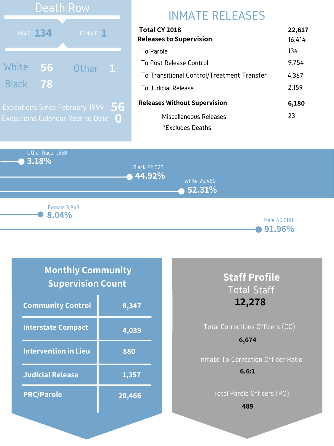Other Race 1,558 **3.18% 44.92% 52.31%** Black 22,023 White 25,450 **8.04%** Female 3,943

Male 45,088

#### **91.96%**

# INMATE RELEASES

| <b>Total CY 2018</b>                       | 22,617 |
|--------------------------------------------|--------|
| <b>Releases to Supervision</b>             | 16,414 |
| To Parole                                  | 134    |
| To Post Release Control                    | 9,754  |
| To Transitional Control/Treatment Transfer | 4,367  |
| To Judicial Release                        | 2,159  |
| <b>Releases Without Supervision</b>        | 6,180  |
| Miscellaneous Releases                     | 23     |
| *Excludes Deaths                           |        |



### **Monthly Community Supervision Count**

| <b>Community Control</b>    | 8,347  |
|-----------------------------|--------|
| <b>Interstate Compact</b>   | 4,039  |
| <b>Intervention in Lieu</b> | 880    |
| <b>Judicial Release</b>     | 1,357  |
| <b>PRC/Parole</b>           | 20,466 |

### **Staff Profile** Total Staff **12,278**

### Total Corrections Officers (CO) Inmate To Correction Officer Ratio **6,674 6.6:1**

Total Parole Officers (PO)

**489**